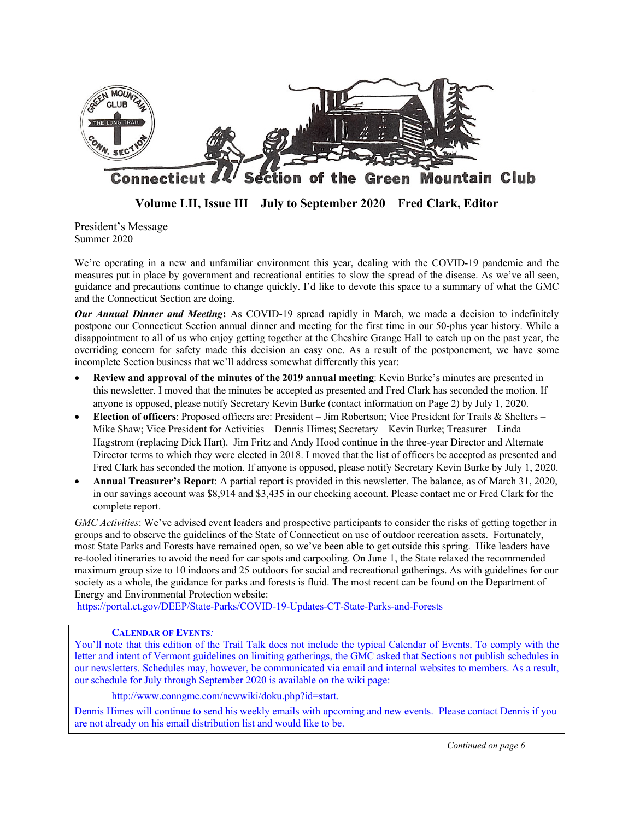

**Volume LII, Issue III July to September 2020 Fred Clark, Editor**

President's Message Summer 2020

We're operating in a new and unfamiliar environment this year, dealing with the COVID-19 pandemic and the measures put in place by government and recreational entities to slow the spread of the disease. As we've all seen, guidance and precautions continue to change quickly. I'd like to devote this space to a summary of what the GMC and the Connecticut Section are doing.

*Our Annual Dinner and Meeting***:** As COVID-19 spread rapidly in March, we made a decision to indefinitely postpone our Connecticut Section annual dinner and meeting for the first time in our 50-plus year history. While a disappointment to all of us who enjoy getting together at the Cheshire Grange Hall to catch up on the past year, the overriding concern for safety made this decision an easy one. As a result of the postponement, we have some incomplete Section business that we'll address somewhat differently this year:

- **Review and approval of the minutes of the 2019 annual meeting**: Kevin Burke's minutes are presented in this newsletter. I moved that the minutes be accepted as presented and Fred Clark has seconded the motion. If anyone is opposed, please notify Secretary Kevin Burke (contact information on Page 2) by July 1, 2020.
- **Election of officers**: Proposed officers are: President Jim Robertson; Vice President for Trails & Shelters Mike Shaw; Vice President for Activities – Dennis Himes; Secretary – Kevin Burke; Treasurer – Linda Hagstrom (replacing Dick Hart). Jim Fritz and Andy Hood continue in the three-year Director and Alternate Director terms to which they were elected in 2018. I moved that the list of officers be accepted as presented and Fred Clark has seconded the motion. If anyone is opposed, please notify Secretary Kevin Burke by July 1, 2020.
- **Annual Treasurer's Report**: A partial report is provided in this newsletter. The balance, as of March 31, 2020, in our savings account was \$8,914 and \$3,435 in our checking account. Please contact me or Fred Clark for the complete report.

*GMC Activities*: We've advised event leaders and prospective participants to consider the risks of getting together in groups and to observe the guidelines of the State of Connecticut on use of outdoor recreation assets. Fortunately, most State Parks and Forests have remained open, so we've been able to get outside this spring. Hike leaders have re-tooled itineraries to avoid the need for car spots and carpooling. On June 1, the State relaxed the recommended maximum group size to 10 indoors and 25 outdoors for social and recreational gatherings. As with guidelines for our society as a whole, the guidance for parks and forests is fluid. The most recent can be found on the Department of Energy and Environmental Protection website:

https://portal.ct.gov/DEEP/State-Parks/COVID-19-Updates-CT-State-Parks-and-Forests

### **CALENDAR OF EVENTS***:*

You'll note that this edition of the Trail Talk does not include the typical Calendar of Events. To comply with the letter and intent of Vermont guidelines on limiting gatherings, the GMC asked that Sections not publish schedules in our newsletters. Schedules may, however, be communicated via email and internal websites to members. As a result, our schedule for July through September 2020 is available on the wiki page:

http://www.conngmc.com/newwiki/doku.php?id=start.

Dennis Himes will continue to send his weekly emails with upcoming and new events. Please contact Dennis if you are not already on his email distribution list and would like to be.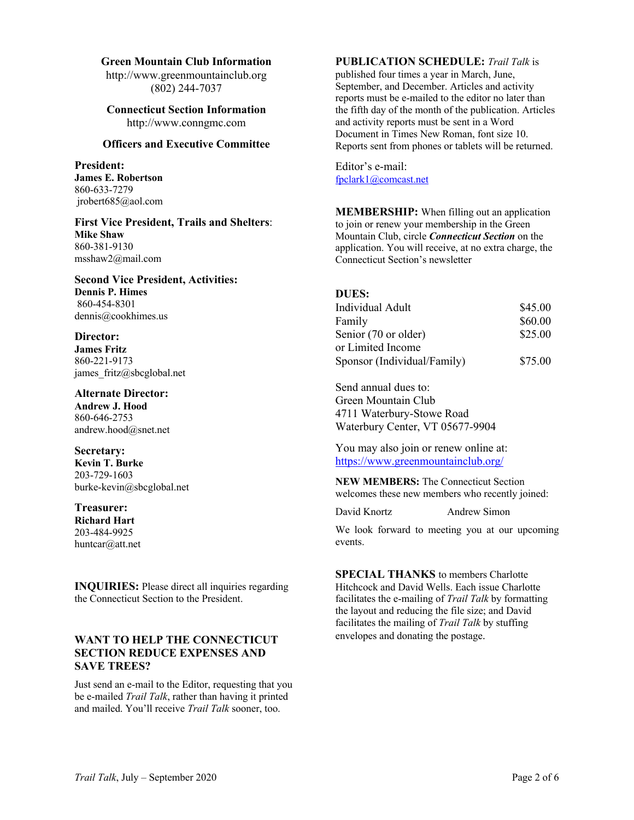#### **Green Mountain Club Information**

http://www.greenmountainclub.org (802) 244-7037

# **Connecticut Section Information** http://www.conngmc.com

# **Officers and Executive Committee**

**President: James E. Robertson** 860-633-7279 jrobert685@aol.com

**First Vice President, Trails and Shelters**: **Mike Shaw** 860-381-9130 msshaw2@mail.com

**Second Vice President, Activities: Dennis P. Himes** 860-454-8301 dennis@cookhimes.us

### **Director:**

**James Fritz** 860-221-9173 james fritz@sbcglobal.net

**Alternate Director: Andrew J. Hood** 860-646-2753 andrew.hood@snet.net

**Secretary: Kevin T. Burke** 203-729-1603 burke-kevin@sbcglobal.net

**Treasurer: Richard Hart** 203-484-9925 huntcar@att.net

**INQUIRIES:** Please direct all inquiries regarding the Connecticut Section to the President.

# **WANT TO HELP THE CONNECTICUT SECTION REDUCE EXPENSES AND SAVE TREES?**

Just send an e-mail to the Editor, requesting that you be e-mailed *Trail Talk*, rather than having it printed and mailed. You'll receive *Trail Talk* sooner, too.

# **PUBLICATION SCHEDULE:** *Trail Talk* is

published four times a year in March, June, September, and December. Articles and activity reports must be e-mailed to the editor no later than the fifth day of the month of the publication. Articles and activity reports must be sent in a Word Document in Times New Roman, font size 10. Reports sent from phones or tablets will be returned.

Editor's e-mail: fpclark1@comcast.net

**MEMBERSHIP:** When filling out an application to join or renew your membership in the Green Mountain Club, circle *Connecticut Section* on the application. You will receive, at no extra charge, the Connecticut Section's newsletter

# **DUES:**

| Individual Adult            | \$45.00 |
|-----------------------------|---------|
| Family                      | \$60.00 |
| Senior (70 or older)        | \$25.00 |
| or Limited Income           |         |
| Sponsor (Individual/Family) | \$75.00 |

Send annual dues to: Green Mountain Club 4711 Waterbury-Stowe Road Waterbury Center, VT 05677-9904

You may also join or renew online at: https://www.greenmountainclub.org/

**NEW MEMBERS:** The Connecticut Section welcomes these new members who recently joined:

David Knortz Andrew Simon

We look forward to meeting you at our upcoming events.

**SPECIAL THANKS** to members Charlotte Hitchcock and David Wells. Each issue Charlotte facilitates the e-mailing of *Trail Talk* by formatting the layout and reducing the file size; and David facilitates the mailing of *Trail Talk* by stuffing envelopes and donating the postage.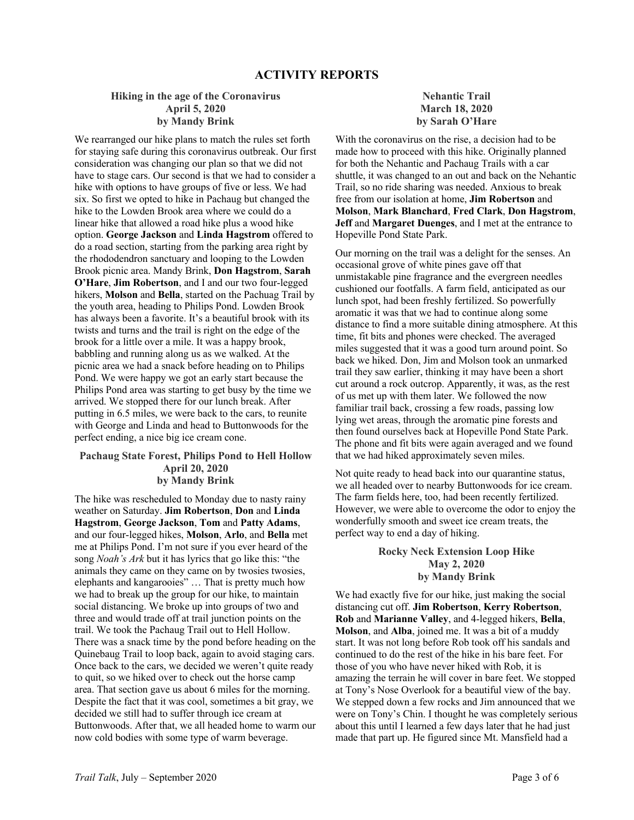### **Hiking in the age of the Coronavirus April 5, 2020 by Mandy Brink**

We rearranged our hike plans to match the rules set forth for staying safe during this coronavirus outbreak. Our first consideration was changing our plan so that we did not have to stage cars. Our second is that we had to consider a hike with options to have groups of five or less. We had six. So first we opted to hike in Pachaug but changed the hike to the Lowden Brook area where we could do a linear hike that allowed a road hike plus a wood hike option. **George Jackson** and **Linda Hagstrom** offered to do a road section, starting from the parking area right by the rhododendron sanctuary and looping to the Lowden Brook picnic area. Mandy Brink, **Don Hagstrom**, **Sarah O'Hare**, **Jim Robertson**, and I and our two four-legged hikers, **Molson** and **Bella**, started on the Pachuag Trail by the youth area, heading to Philips Pond. Lowden Brook has always been a favorite. It's a beautiful brook with its twists and turns and the trail is right on the edge of the brook for a little over a mile. It was a happy brook, babbling and running along us as we walked. At the picnic area we had a snack before heading on to Philips Pond. We were happy we got an early start because the Philips Pond area was starting to get busy by the time we arrived. We stopped there for our lunch break. After putting in 6.5 miles, we were back to the cars, to reunite with George and Linda and head to Buttonwoods for the perfect ending, a nice big ice cream cone.

# **Pachaug State Forest, Philips Pond to Hell Hollow April 20, 2020 by Mandy Brink**

The hike was rescheduled to Monday due to nasty rainy weather on Saturday. **Jim Robertson**, **Don** and **Linda Hagstrom**, **George Jackson**, **Tom** and **Patty Adams**, and our four-legged hikes, **Molson**, **Arlo**, and **Bella** met me at Philips Pond. I'm not sure if you ever heard of the song *Noah's Ark* but it has lyrics that go like this: "the animals they came on they came on by twosies twosies, elephants and kangarooies" … That is pretty much how we had to break up the group for our hike, to maintain social distancing. We broke up into groups of two and three and would trade off at trail junction points on the trail. We took the Pachaug Trail out to Hell Hollow. There was a snack time by the pond before heading on the Quinebaug Trail to loop back, again to avoid staging cars. Once back to the cars, we decided we weren't quite ready to quit, so we hiked over to check out the horse camp area. That section gave us about 6 miles for the morning. Despite the fact that it was cool, sometimes a bit gray, we decided we still had to suffer through ice cream at Buttonwoods. After that, we all headed home to warm our now cold bodies with some type of warm beverage.

# **Nehantic Trail March 18, 2020 by Sarah O'Hare**

With the coronavirus on the rise, a decision had to be made how to proceed with this hike. Originally planned for both the Nehantic and Pachaug Trails with a car shuttle, it was changed to an out and back on the Nehantic Trail, so no ride sharing was needed. Anxious to break free from our isolation at home, **Jim Robertson** and **Molson**, **Mark Blanchard**, **Fred Clark**, **Don Hagstrom**, **Jeff** and **Margaret Duenges**, and I met at the entrance to Hopeville Pond State Park.

Our morning on the trail was a delight for the senses. An occasional grove of white pines gave off that unmistakable pine fragrance and the evergreen needles cushioned our footfalls. A farm field, anticipated as our lunch spot, had been freshly fertilized. So powerfully aromatic it was that we had to continue along some distance to find a more suitable dining atmosphere. At this time, fit bits and phones were checked. The averaged miles suggested that it was a good turn around point. So back we hiked. Don, Jim and Molson took an unmarked trail they saw earlier, thinking it may have been a short cut around a rock outcrop. Apparently, it was, as the rest of us met up with them later. We followed the now familiar trail back, crossing a few roads, passing low lying wet areas, through the aromatic pine forests and then found ourselves back at Hopeville Pond State Park. The phone and fit bits were again averaged and we found that we had hiked approximately seven miles.

Not quite ready to head back into our quarantine status, we all headed over to nearby Buttonwoods for ice cream. The farm fields here, too, had been recently fertilized. However, we were able to overcome the odor to enjoy the wonderfully smooth and sweet ice cream treats, the perfect way to end a day of hiking.

### **Rocky Neck Extension Loop Hike May 2, 2020 by Mandy Brink**

We had exactly five for our hike, just making the social distancing cut off. **Jim Robertson**, **Kerry Robertson**, **Rob** and **Marianne Valley**, and 4-legged hikers, **Bella**, **Molson**, and **Alba**, joined me. It was a bit of a muddy start. It was not long before Rob took off his sandals and continued to do the rest of the hike in his bare feet. For those of you who have never hiked with Rob, it is amazing the terrain he will cover in bare feet. We stopped at Tony's Nose Overlook for a beautiful view of the bay. We stepped down a few rocks and Jim announced that we were on Tony's Chin. I thought he was completely serious about this until I learned a few days later that he had just made that part up. He figured since Mt. Mansfield had a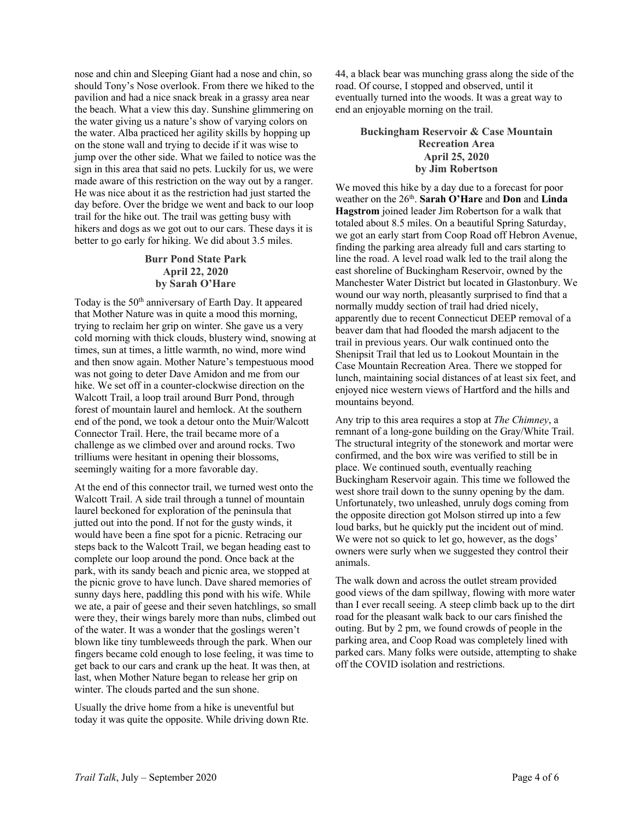nose and chin and Sleeping Giant had a nose and chin, so should Tony's Nose overlook. From there we hiked to the pavilion and had a nice snack break in a grassy area near the beach. What a view this day. Sunshine glimmering on the water giving us a nature's show of varying colors on the water. Alba practiced her agility skills by hopping up on the stone wall and trying to decide if it was wise to jump over the other side. What we failed to notice was the sign in this area that said no pets. Luckily for us, we were made aware of this restriction on the way out by a ranger. He was nice about it as the restriction had just started the day before. Over the bridge we went and back to our loop trail for the hike out. The trail was getting busy with hikers and dogs as we got out to our cars. These days it is better to go early for hiking. We did about 3.5 miles.

# **Burr Pond State Park April 22, 2020 by Sarah O'Hare**

Today is the 50<sup>th</sup> anniversary of Earth Day. It appeared that Mother Nature was in quite a mood this morning, trying to reclaim her grip on winter. She gave us a very cold morning with thick clouds, blustery wind, snowing at times, sun at times, a little warmth, no wind, more wind and then snow again. Mother Nature's tempestuous mood was not going to deter Dave Amidon and me from our hike. We set off in a counter-clockwise direction on the Walcott Trail, a loop trail around Burr Pond, through forest of mountain laurel and hemlock. At the southern end of the pond, we took a detour onto the Muir/Walcott Connector Trail. Here, the trail became more of a challenge as we climbed over and around rocks. Two trilliums were hesitant in opening their blossoms, seemingly waiting for a more favorable day.

At the end of this connector trail, we turned west onto the Walcott Trail. A side trail through a tunnel of mountain laurel beckoned for exploration of the peninsula that jutted out into the pond. If not for the gusty winds, it would have been a fine spot for a picnic. Retracing our steps back to the Walcott Trail, we began heading east to complete our loop around the pond. Once back at the park, with its sandy beach and picnic area, we stopped at the picnic grove to have lunch. Dave shared memories of sunny days here, paddling this pond with his wife. While we ate, a pair of geese and their seven hatchlings, so small were they, their wings barely more than nubs, climbed out of the water. It was a wonder that the goslings weren't blown like tiny tumbleweeds through the park. When our fingers became cold enough to lose feeling, it was time to get back to our cars and crank up the heat. It was then, at last, when Mother Nature began to release her grip on winter. The clouds parted and the sun shone.

Usually the drive home from a hike is uneventful but today it was quite the opposite. While driving down Rte. 44, a black bear was munching grass along the side of the road. Of course, I stopped and observed, until it eventually turned into the woods. It was a great way to end an enjoyable morning on the trail.

### **Buckingham Reservoir & Case Mountain Recreation Area April 25, 2020 by Jim Robertson**

We moved this hike by a day due to a forecast for poor weather on the 26th. **Sarah O'Hare** and **Don** and **Linda Hagstrom** joined leader Jim Robertson for a walk that totaled about 8.5 miles. On a beautiful Spring Saturday, we got an early start from Coop Road off Hebron Avenue, finding the parking area already full and cars starting to line the road. A level road walk led to the trail along the east shoreline of Buckingham Reservoir, owned by the Manchester Water District but located in Glastonbury. We wound our way north, pleasantly surprised to find that a normally muddy section of trail had dried nicely, apparently due to recent Connecticut DEEP removal of a beaver dam that had flooded the marsh adjacent to the trail in previous years. Our walk continued onto the Shenipsit Trail that led us to Lookout Mountain in the Case Mountain Recreation Area. There we stopped for lunch, maintaining social distances of at least six feet, and enjoyed nice western views of Hartford and the hills and mountains beyond.

Any trip to this area requires a stop at *The Chimney*, a remnant of a long-gone building on the Gray/White Trail. The structural integrity of the stonework and mortar were confirmed, and the box wire was verified to still be in place. We continued south, eventually reaching Buckingham Reservoir again. This time we followed the west shore trail down to the sunny opening by the dam. Unfortunately, two unleashed, unruly dogs coming from the opposite direction got Molson stirred up into a few loud barks, but he quickly put the incident out of mind. We were not so quick to let go, however, as the dogs' owners were surly when we suggested they control their animals.

The walk down and across the outlet stream provided good views of the dam spillway, flowing with more water than I ever recall seeing. A steep climb back up to the dirt road for the pleasant walk back to our cars finished the outing. But by 2 pm, we found crowds of people in the parking area, and Coop Road was completely lined with parked cars. Many folks were outside, attempting to shake off the COVID isolation and restrictions.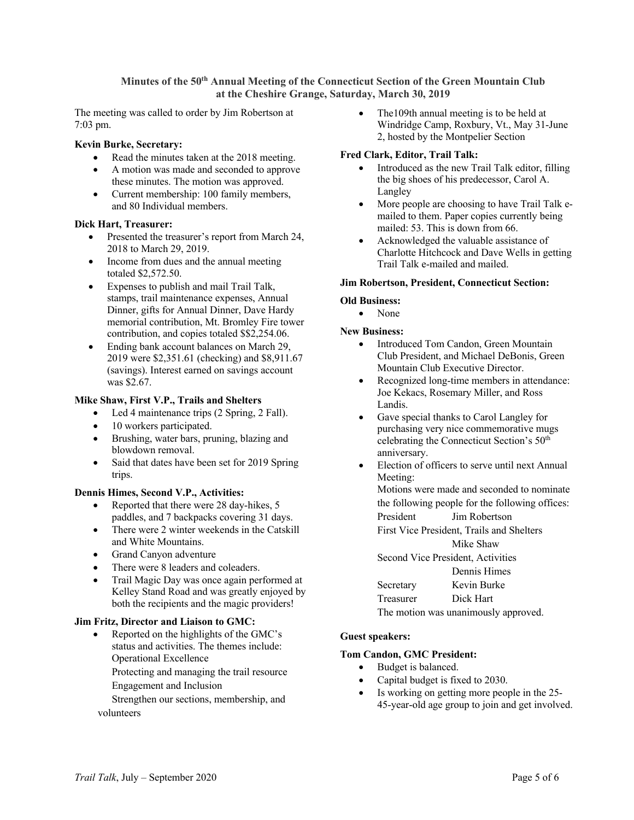**Minutes of the 50th Annual Meeting of the Connecticut Section of the Green Mountain Club at the Cheshire Grange, Saturday, March 30, 2019**

The meeting was called to order by Jim Robertson at 7:03 pm.

### **Kevin Burke, Secretary:**

- Read the minutes taken at the 2018 meeting.
- A motion was made and seconded to approve these minutes. The motion was approved.
- Current membership: 100 family members, and 80 Individual members.

#### **Dick Hart, Treasurer:**

- Presented the treasurer's report from March 24, 2018 to March 29, 2019.
- Income from dues and the annual meeting totaled \$2,572.50.
- Expenses to publish and mail Trail Talk, stamps, trail maintenance expenses, Annual Dinner, gifts for Annual Dinner, Dave Hardy memorial contribution, Mt. Bromley Fire tower contribution, and copies totaled \$\$2,254.06.
- Ending bank account balances on March 29, 2019 were \$2,351.61 (checking) and \$8,911.67 (savings). Interest earned on savings account was \$2.67.

#### **Mike Shaw, First V.P., Trails and Shelters**

- Led 4 maintenance trips (2 Spring, 2 Fall).
- 10 workers participated.
- Brushing, water bars, pruning, blazing and blowdown removal.
- Said that dates have been set for 2019 Spring trips.

#### **Dennis Himes, Second V.P., Activities:**

- Reported that there were 28 day-hikes, 5 paddles, and 7 backpacks covering 31 days.
- There were 2 winter weekends in the Catskill and White Mountains.
- Grand Canyon adventure
- There were 8 leaders and coleaders.
- Trail Magic Day was once again performed at Kelley Stand Road and was greatly enjoyed by both the recipients and the magic providers!

#### **Jim Fritz, Director and Liaison to GMC:**

• Reported on the highlights of the GMC's status and activities. The themes include: Operational Excellence

Protecting and managing the trail resource Engagement and Inclusion

Strengthen our sections, membership, and volunteers

• The 109th annual meeting is to be held at Windridge Camp, Roxbury, Vt., May 31-June 2, hosted by the Montpelier Section

### **Fred Clark, Editor, Trail Talk:**

- Introduced as the new Trail Talk editor, filling the big shoes of his predecessor, Carol A. Langley
- More people are choosing to have Trail Talk emailed to them. Paper copies currently being mailed: 53. This is down from 66.
- Acknowledged the valuable assistance of Charlotte Hitchcock and Dave Wells in getting Trail Talk e-mailed and mailed.

#### **Jim Robertson, President, Connecticut Section:**

#### **Old Business:**

• None

#### **New Business:**

- Introduced Tom Candon, Green Mountain Club President, and Michael DeBonis, Green Mountain Club Executive Director.
- Recognized long-time members in attendance: Joe Kekacs, Rosemary Miller, and Ross Landis.
- Gave special thanks to Carol Langley for purchasing very nice commemorative mugs celebrating the Connecticut Section's 50th anniversary.
- Election of officers to serve until next Annual Meeting:

Motions were made and seconded to nominate the following people for the following offices: President Jim Robertson First Vice President, Trails and Shelters

Mike Shaw

Second Vice President, Activities Dennis Himes Secretary Kevin Burke Treasurer Dick Hart The motion was unanimously approved.

#### **Guest speakers:**

### **Tom Candon, GMC President:**

- Budget is balanced.
- Capital budget is fixed to 2030.
- Is working on getting more people in the 25-45-year-old age group to join and get involved.